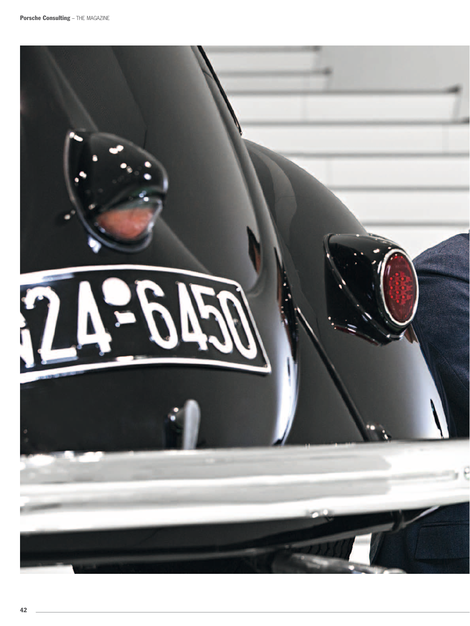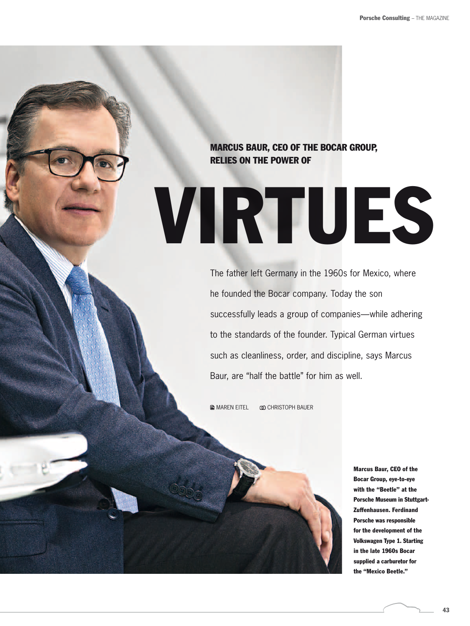## Marcus Baur, CEO of the Bocar Group, relies on the power of

## VIRTUES

The father left Germany in the 1960s for Mexico, where he founded the Bocar company. Today the son successfully leads a group of companies—while adhering to the standards of the founder. Typical German virtues such as cleanliness, order, and discipline, says Marcus Baur, are "half the battle" for him as well.

**■ MAREN EITEL © CHRISTOPH BAUER** 

Marcus Baur, CEO of the Bocar Group, eye-to-eye with the "Beetle" at the Porsche Museum in Stuttgart-Zuffenhausen. Ferdinand Porsche was responsible for the development of the Volkswagen Type 1. Starting in the late 1960s Bocar supplied a carburetor for the "Mexico Beetle."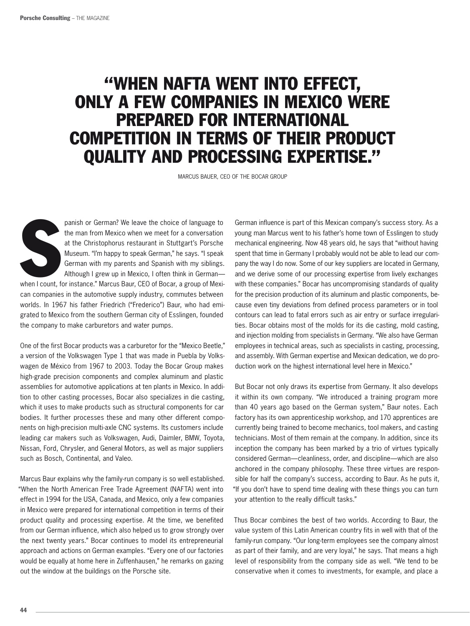## "When NAFTA went into effect, only a few companies in Mexico were prepared for international competition in terms of their product quality and processing expertise."

MARCUS BAUER, CEO OF THE BOCAR GROUP

Substitution de la Counter de

panish or German? We leave the choice of language to the man from Mexico when we meet for a conversation at the Christophorus restaurant in Stuttgart's Porsche Museum. "I'm happy to speak German," he says. "I speak German with my parents and Spanish with my siblings. Although I grew up in Mexico, I often think in German—

when I count, for instance." Marcus Baur, CEO of Bocar, a group of Mexican companies in the automotive supply industry, commutes between worlds. In 1967 his father Friedrich ("Frederico") Baur, who had emigrated to Mexico from the southern German city of Esslingen, founded the company to make carburetors and water pumps.

One of the first Bocar products was a carburetor for the "Mexico Beetle," a version of the Volkswagen Type 1 that was made in Puebla by Volkswagen de México from 1967 to 2003. Today the Bocar Group makes high-grade precision components and complex aluminum and plastic assemblies for automotive applications at ten plants in Mexico. In addition to other casting processes, Bocar also specializes in die casting, which it uses to make products such as structural components for car bodies. It further processes these and many other different components on high-precision multi-axle CNC systems. Its customers include leading car makers such as Volkswagen, Audi, Daimler, BMW, Toyota, Nissan, Ford, Chrysler, and General Motors, as well as major suppliers such as Bosch, Continental, and Valeo.

Marcus Baur explains why the family-run company is so well established. "When the North American Free Trade Agreement (NAFTA) went into effect in 1994 for the USA, Canada, and Mexico, only a few companies in Mexico were prepared for international competition in terms of their product quality and processing expertise. At the time, we benefited from our German influence, which also helped us to grow strongly over the next twenty years." Bocar continues to model its entrepreneurial approach and actions on German examples. "Every one of our factories would be equally at home here in Zuffenhausen," he remarks on gazing out the window at the buildings on the Porsche site.

German influence is part of this Mexican company's success story. As a young man Marcus went to his father's home town of Esslingen to study mechanical engineering. Now 48 years old, he says that "without having spent that time in Germany I probably would not be able to lead our company the way I do now. Some of our key suppliers are located in Germany, and we derive some of our processing expertise from lively exchanges with these companies." Bocar has uncompromising standards of quality for the precision production of its aluminum and plastic components, because even tiny deviations from defined process parameters or in tool contours can lead to fatal errors such as air entry or surface irregularities. Bocar obtains most of the molds for its die casting, mold casting, and injection molding from specialists in Germany. "We also have German employees in technical areas, such as specialists in casting, processing, and assembly. With German expertise and Mexican dedication, we do production work on the highest international level here in Mexico."

But Bocar not only draws its expertise from Germany. It also develops it within its own company. "We introduced a training program more than 40 years ago based on the German system," Baur notes. Each factory has its own apprenticeship workshop, and 170 apprentices are currently being trained to become mechanics, tool makers, and casting technicians. Most of them remain at the company. In addition, since its inception the company has been marked by a trio of virtues typically considered German—cleanliness, order, and discipline—which are also anchored in the company philosophy. These three virtues are responsible for half the company's success, according to Baur. As he puts it, "If you don't have to spend time dealing with these things you can turn your attention to the really difficult tasks."

Thus Bocar combines the best of two worlds. According to Baur, the value system of this Latin American country fits in well with that of the family-run company. "Our long-term employees see the company almost as part of their family, and are very loyal," he says. That means a high level of responsibility from the company side as well. "We tend to be conservative when it comes to investments, for example, and place a